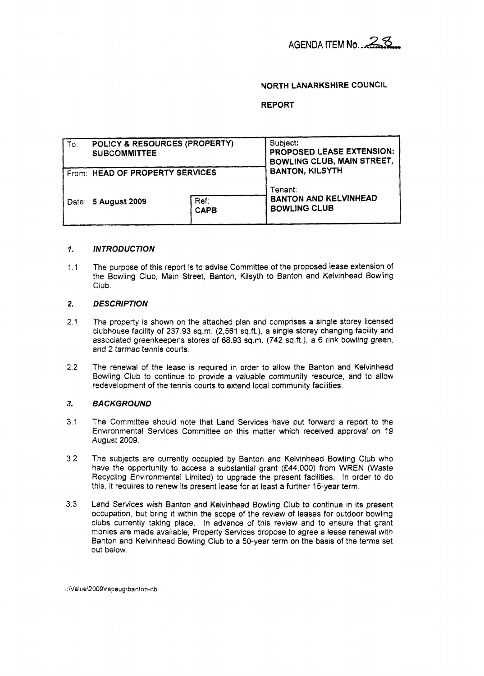# **NORTH LANARKSHIRE COUNCIL**

# **REPORT**

| To: | POLICY & RESOURCES (PROPERTY)<br><b>SUBCOMMITTEE</b> |                     | Subject:<br>PROPOSED LEASE EXTENSION:<br><b>BOWLING CLUB, MAIN STREET,</b> |
|-----|------------------------------------------------------|---------------------|----------------------------------------------------------------------------|
|     | From: HEAD OF PROPERTY SERVICES                      |                     | <b>BANTON, KILSYTH</b>                                                     |
|     | Date: 5 August 2009                                  | Ref:<br><b>CAPB</b> | Tenant:<br><b>BANTON AND KELVINHEAD</b><br><b>BOWLING CLUB</b>             |

## **INTRODUCTION** *I,*

1.1 The purpose *of* **this** report **is** to advise Committee of the proposed lease extension of the Bowling Club, Main Street, Banton, Kilsyth to Banton and Kelvinhead Bowling **Club** 

## **2, DESCRIPTION**

- **2.1**  The **property** is shown on the attached plan and comprrses **a** single storey licensed clubhouse facility of 237 93 sq.m. **(2,561 sq.ft,), a** single storey changing facility and associated greenkeeper's stores of 68.93 sq.m. (742 sq.ft.), a 6 rink bowling green, **and 2** tarmac *tennis* courts.
- **2.2**  The renewal of the **lease** is required in order to allow **the** 8anton and Kelvinhead Bowling Club to continue to provide a valuable community resource, and to allow redevelopment of the tennis courts to extend local community facilities.

## **3. BACKGROUND**

- 3.1 The Committee should note that Land Services have put forward a report to the Environmental Services Committee on this matter which received approval on 19 August **2009,**
- **3.2**  The subjects are currently occupied **by** Banton and Keivinhead Bowling Club who have the opportunity to access a substantial grant (£44,000) from WREN (Waste Recycling Environmental Limited) to upgrade the present facilities. In order to do **this,** it requires to renew **'Its** present lease for at least a further 45-year term.
- *3.3*  Land Services **wish** Banton and Kelvinhead Bowling **Cfub** to continue in its present occupation. but **bring** it within the **scope** of the review of **leases** for outdoor bowling clubs currently taking place. In advance of this review and *to* ensure **that** grant: monies are **made** available, Property Services propose to agree a **lease** renewal with 3anton and Kefvrnfiead Bowling **Club** to a 50-year term on the **basis** of the terns set out below,

i:\Value\2009\repaug\banton-cb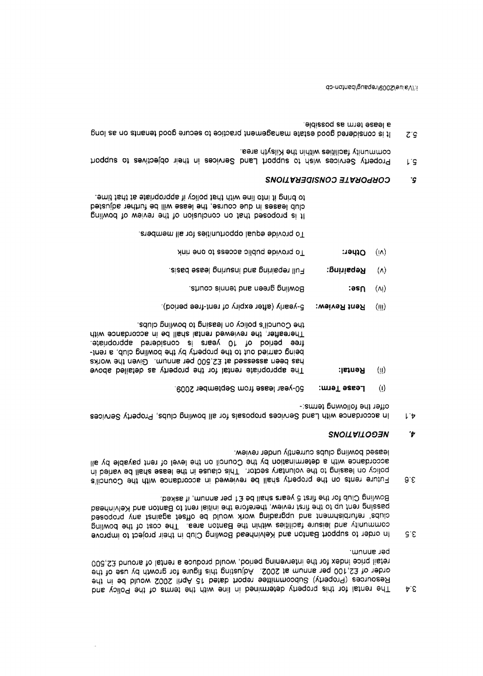- per annum. 008,S3 bnuons to latner a equborq bluow ,boineq pninevretni edt tot xebni editq liater order of £2,100 per annum at 2002. Adjusting this figure for growth by use of the Resources (Property) Subcommittee report dated 15 April 2002 would be in the The volloq edt to the property defermined in line with the remains of the Policy and  $\mathfrak{p} \in$
- Bowling Club for the first 5 years shall be £1 per annum, if asked. passing rent up to the first review, therefore the initial rent be Banton and Kelvinhead clubs' refurbishment and upgrading work would be offset against any proposed community and leisure facilities within the Banton area. The cost of the bowling In order to support Banton and Kelvinbead Bowling Club in their project to improve  $S^{\prime} \mathcal{E}$
- leased bowling clubs currently under review. accordance with a determination by the Council on the level of rent payable by all policy on leasing to the voluntary sector. This clause in the lease shall be varied in Future rents on the property shall be reviewed in accordance with the Council's  $9.5$

## **SNOITAITOO3N** 't

- offer the following terms;-In accordance with Land Services proposals for all bowling clubs, Property Services じゃ
- 50-year lease from September 2009. Lease Term:  $\langle 1 \rangle$
- the Council's policy on leasing to bowling clubs. Thereafter, the reviewed rental shall be in accordance with tree periodra berebianco al ansey 01 to boiteq eet being carried out to the property by the bowling club, a renthas been assessed at £2,500 per annum. Given the works The appropriate rental for the property as detailed above **Retne**R:  $\langle \parallel \rangle$
- 5-yearly (after expiry of rent-free period). Rent Review:  $(m)$
- Bowling green and tennis courts.  $\mathsf{?} \mathsf{as} \cap$  $(\Lambda)$
- Eull repaining and included lease basis. Rebsiring:  $(\wedge)$
- To provide public access to one rink Cther:  $(n)$

To provide equal opportunities for all members.

to bring it into line with that policy if appropriate at that time. club leases in due course, the lease will be further adjusted It is proposed that on conclusion of the review of bouling

#### CORPORATE CONSIDERATIONS ʻG

- community facilities within the Kilsyth area. Property Services wish to support Land Services in their objectives to support IJ.
- a lease term as possible. It is considered good setate management practice to secure good tenants on as long  $Z^{\circ}G$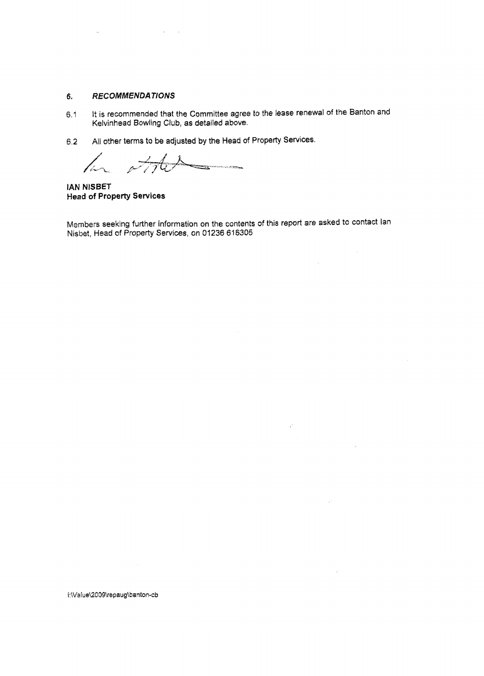#### 6. **RECOMMENDATIONS**

- 6.1 It **is** recommended that the Committee agree to **the** lease renewal of **the** Banton and Kelvinhead Bowling Club, as detailed above.
- **6.2 All** other **terms** to **be adjusted by** the **Head** of Property **Services.**

 $42$  $\overline{\phantom{a}}$ 

**IAM NISBET Head of Property Services** 

**~~~~~~s** seeking further infarmation on the contents *of* **this report** are **asked** *to* contact !an Nisbet, **Head** of Property Services, **an 01236** 616305

 $\mathcal{A}$ 

 $\mathcal{A}^{\mathcal{A}}$ 

 $\bar{u}$ 

 $\mathcal{L}_{\rm d}$ 

 $\mathcal{L}$ 

 $\mathcal{L}$ 

i:\Value\2009\repaug\banton-cb